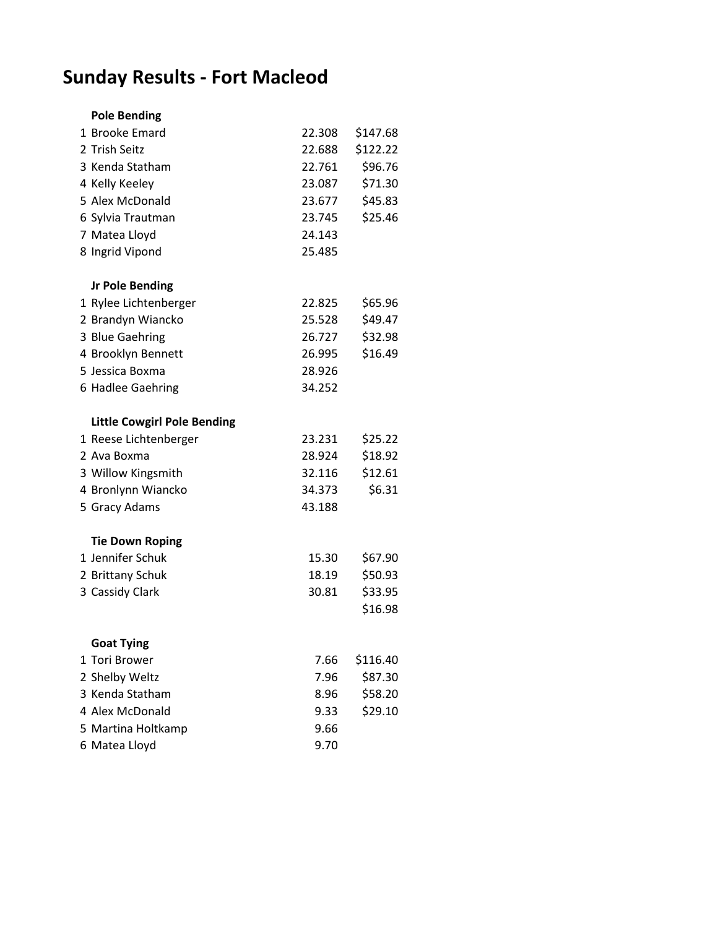## **Sunday Results - Fort Macleod**

| <b>Pole Bending</b>                |        |          |
|------------------------------------|--------|----------|
| 1 Brooke Emard                     | 22.308 | \$147.68 |
| 2 Trish Seitz                      | 22.688 | \$122.22 |
| 3 Kenda Statham                    | 22.761 | \$96.76  |
| 4 Kelly Keeley                     | 23.087 | \$71.30  |
| 5 Alex McDonald                    | 23.677 | \$45.83  |
| 6 Sylvia Trautman                  | 23.745 | \$25.46  |
| 7 Matea Lloyd                      | 24.143 |          |
| 8 Ingrid Vipond                    | 25.485 |          |
| <b>Jr Pole Bending</b>             |        |          |
| 1 Rylee Lichtenberger              | 22.825 | \$65.96  |
| 2 Brandyn Wiancko                  | 25.528 | \$49.47  |
| 3 Blue Gaehring                    | 26.727 | \$32.98  |
| 4 Brooklyn Bennett                 | 26.995 | \$16.49  |
| 5 Jessica Boxma                    | 28.926 |          |
| 6 Hadlee Gaehring                  | 34.252 |          |
| <b>Little Cowgirl Pole Bending</b> |        |          |
| 1 Reese Lichtenberger              | 23.231 | \$25.22  |
| 2 Ava Boxma                        | 28.924 | \$18.92  |
| 3 Willow Kingsmith                 | 32.116 | \$12.61  |
| 4 Bronlynn Wiancko                 | 34.373 | \$6.31   |
| 5 Gracy Adams                      | 43.188 |          |
| <b>Tie Down Roping</b>             |        |          |
| 1 Jennifer Schuk                   | 15.30  | \$67.90  |
| 2 Brittany Schuk                   | 18.19  | \$50.93  |
| 3 Cassidy Clark                    | 30.81  | \$33.95  |
|                                    |        | \$16.98  |
| <b>Goat Tying</b>                  |        |          |
| 1 Tori Brower                      | 7.66   | \$116.40 |
| 2 Shelby Weltz                     | 7.96   | \$87.30  |
| 3 Kenda Statham                    | 8.96   | \$58.20  |
| 4 Alex McDonald                    | 9.33   | \$29.10  |
| 5 Martina Holtkamp                 | 9.66   |          |
| 6 Matea Lloyd                      | 9.70   |          |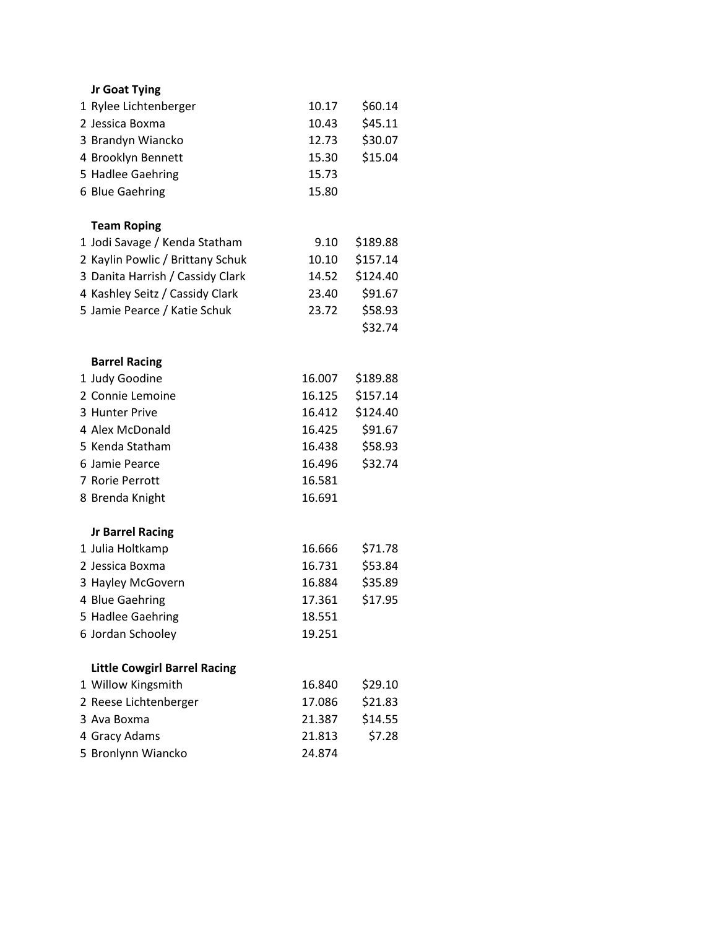| Jr Goat Tying                               |        |          |
|---------------------------------------------|--------|----------|
| 1 Rylee Lichtenberger                       | 10.17  | \$60.14  |
| 2 Jessica Boxma                             | 10.43  | \$45.11  |
| 3 Brandyn Wiancko                           | 12.73  | \$30.07  |
| 4 Brooklyn Bennett                          | 15.30  | \$15.04  |
| 5 Hadlee Gaehring                           | 15.73  |          |
| 6 Blue Gaehring                             | 15.80  |          |
|                                             |        |          |
| <b>Team Roping</b>                          |        |          |
| 1 Jodi Savage / Kenda Statham               | 9.10   | \$189.88 |
| 2 Kaylin Powlic / Brittany Schuk            | 10.10  | \$157.14 |
| 3 Danita Harrish / Cassidy Clark            | 14.52  | \$124.40 |
| 4 Kashley Seitz / Cassidy Clark             | 23.40  | \$91.67  |
| 5 Jamie Pearce / Katie Schuk                | 23.72  | \$58.93  |
|                                             |        | \$32.74  |
|                                             |        |          |
| <b>Barrel Racing</b>                        |        |          |
| 1 Judy Goodine                              | 16.007 | \$189.88 |
| 2 Connie Lemoine                            | 16.125 | \$157.14 |
| 3 Hunter Prive                              | 16.412 | \$124.40 |
| 4 Alex McDonald                             | 16.425 | \$91.67  |
| 5 Kenda Statham                             | 16.438 | \$58.93  |
| 6 Jamie Pearce                              | 16.496 | \$32.74  |
| 7 Rorie Perrott                             | 16.581 |          |
| 8 Brenda Knight                             | 16.691 |          |
|                                             |        |          |
| <b>Jr Barrel Racing</b><br>1 Julia Holtkamp | 16.666 | \$71.78  |
| 2 Jessica Boxma                             | 16.731 | \$53.84  |
| 3 Hayley McGovern                           | 16.884 | \$35.89  |
| 4 Blue Gaehring                             | 17.361 | \$17.95  |
| 5 Hadlee Gaehring                           | 18.551 |          |
| 6 Jordan Schooley                           | 19.251 |          |
|                                             |        |          |
| <b>Little Cowgirl Barrel Racing</b>         |        |          |
| 1 Willow Kingsmith                          | 16.840 | \$29.10  |
| 2 Reese Lichtenberger                       | 17.086 | \$21.83  |
| 3 Ava Boxma                                 | 21.387 | \$14.55  |
| 4 Gracy Adams                               | 21.813 | \$7.28   |
| 5 Bronlynn Wiancko                          | 24.874 |          |